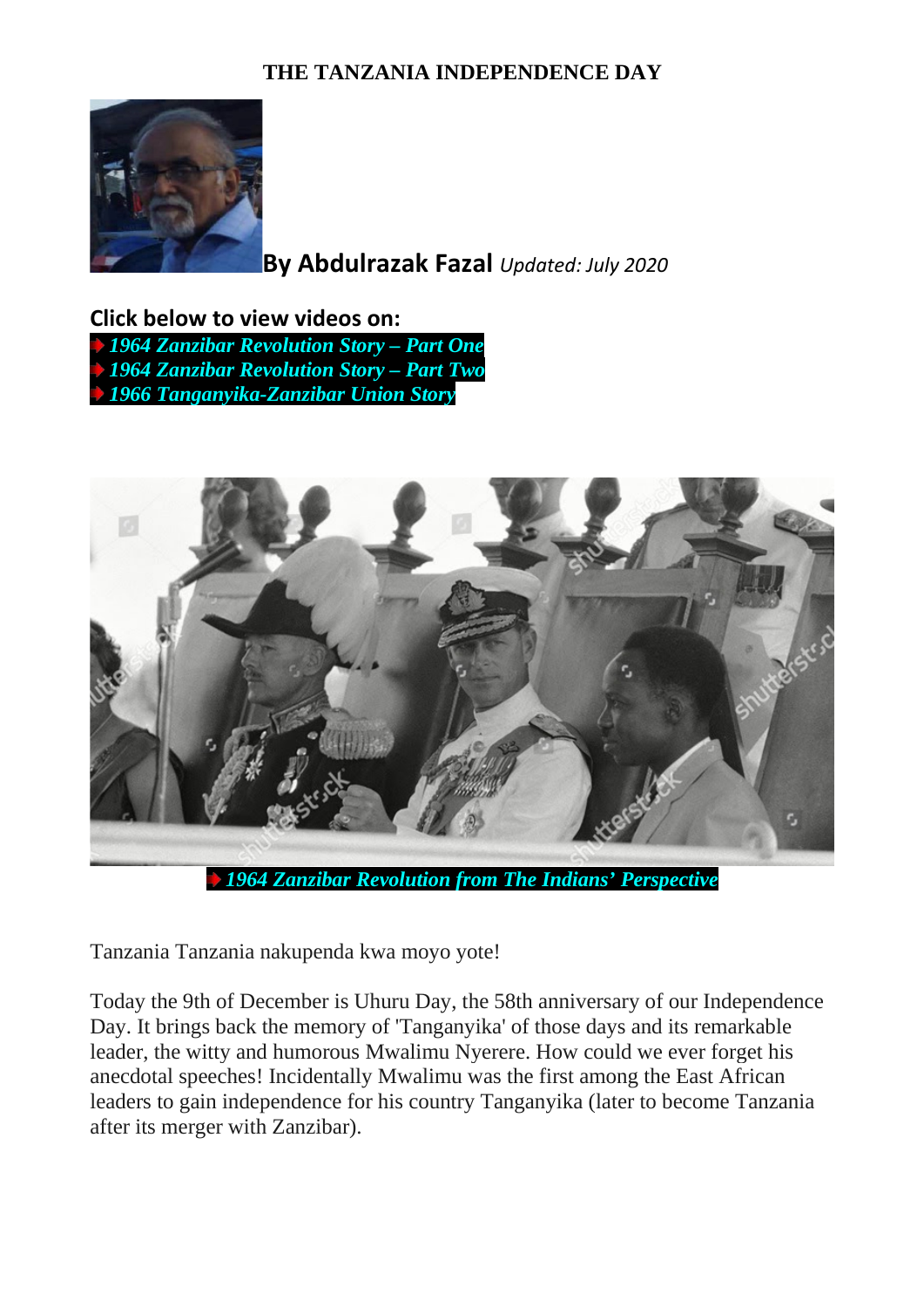## **THE TANZANIA INDEPENDENCE DAY**



**By Abdulrazak Fazal** *Updated: July 2020*

**Click below to view videos on:** *[1964 Zanzibar Revolution Story –](http://www.dewani.ca/Zbar%20videos/12ZbarElection1963video.mp4) Part One [1964 Zanzibar Revolution Story –](http://www.dewani.ca/Zbar%20videos/VIDEO-2020-06-18-05-09-01.mp4) Part Two [1966 Tanganyika-Zanzibar Union Story](http://www.dewani.ca/video/zanzibar/TanZanUnion.mp4)*



Tanzania Tanzania nakupenda kwa moyo yote!

Today the 9th of December is Uhuru Day, the 58th anniversary of our Independence Day. It brings back the memory of 'Tanganyika' of those days and its remarkable leader, the witty and humorous Mwalimu Nyerere. How could we ever forget his anecdotal speeches! Incidentally Mwalimu was the first among the East African leaders to gain independence for his country Tanganyika (later to become Tanzania after its merger with Zanzibar).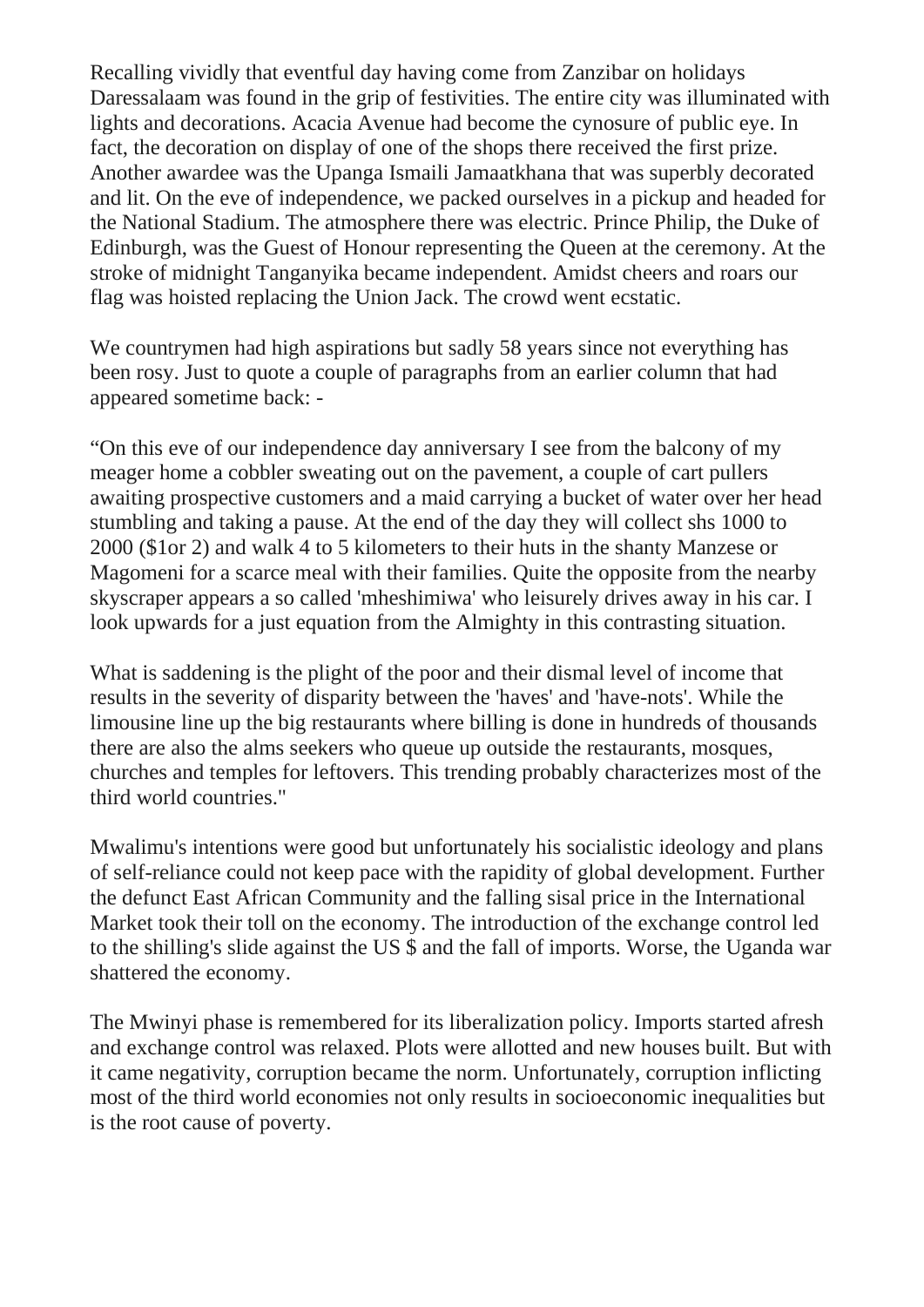Recalling vividly that eventful day having come from Zanzibar on holidays Daressalaam was found in the grip of festivities. The entire city was illuminated with lights and decorations. Acacia Avenue had become the cynosure of public eye. In fact, the decoration on display of one of the shops there received the first prize. Another awardee was the Upanga Ismaili Jamaatkhana that was superbly decorated and lit. On the eve of independence, we packed ourselves in a pickup and headed for the National Stadium. The atmosphere there was electric. Prince Philip, the Duke of Edinburgh, was the Guest of Honour representing the Queen at the ceremony. At the stroke of midnight Tanganyika became independent. Amidst cheers and roars our flag was hoisted replacing the Union Jack. The crowd went ecstatic.

We countrymen had high aspirations but sadly 58 years since not everything has been rosy. Just to quote a couple of paragraphs from an earlier column that had appeared sometime back: -

"On this eve of our independence day anniversary I see from the balcony of my meager home a cobbler sweating out on the pavement, a couple of cart pullers awaiting prospective customers and a maid carrying a bucket of water over her head stumbling and taking a pause. At the end of the day they will collect shs 1000 to 2000 (\$1or 2) and walk 4 to 5 kilometers to their huts in the shanty Manzese or Magomeni for a scarce meal with their families. Quite the opposite from the nearby skyscraper appears a so called 'mheshimiwa' who leisurely drives away in his car. I look upwards for a just equation from the Almighty in this contrasting situation.

What is saddening is the plight of the poor and their dismal level of income that results in the severity of disparity between the 'haves' and 'have-nots'. While the limousine line up the big restaurants where billing is done in hundreds of thousands there are also the alms seekers who queue up outside the restaurants, mosques, churches and temples for leftovers. This trending probably characterizes most of the third world countries."

Mwalimu's intentions were good but unfortunately his socialistic ideology and plans of self-reliance could not keep pace with the rapidity of global development. Further the defunct East African Community and the falling sisal price in the International Market took their toll on the economy. The introduction of the exchange control led to the shilling's slide against the US \$ and the fall of imports. Worse, the Uganda war shattered the economy.

The Mwinyi phase is remembered for its liberalization policy. Imports started afresh and exchange control was relaxed. Plots were allotted and new houses built. But with it came negativity, corruption became the norm. Unfortunately, corruption inflicting most of the third world economies not only results in socioeconomic inequalities but is the root cause of poverty.